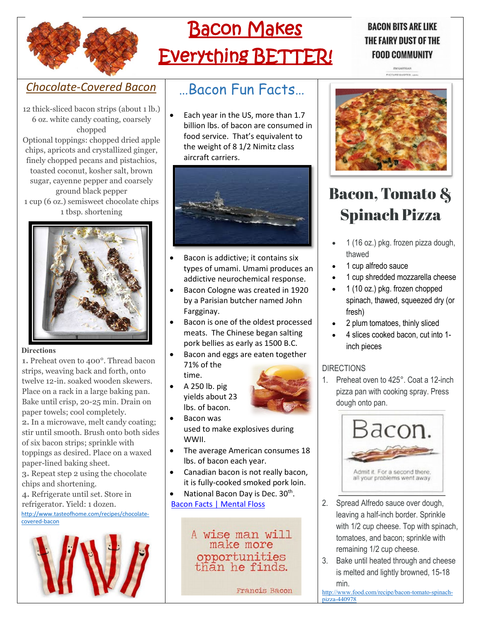

# Bacon Makes Everything BETTER!

## **BACON BITS ARE LIKE** THE FAIRY DUST OF THE **FOOD COMMUNITY**

## *Chocolate-Covered Bacon*

12 thick-sliced bacon strips (about 1 lb.) 6 oz. white candy coating, coarsely chopped Optional toppings: chopped dried apple chips, apricots and crystallized ginger, finely chopped pecans and pistachios, toasted coconut, kosher salt, brown sugar, cayenne pepper and coarsely ground black pepper 1 cup (6 oz.) semisweet chocolate chips 1 tbsp. shortening



#### **Directions**

**1.** Preheat oven to 400°. Thread bacon strips, weaving back and forth, onto twelve 12-in. soaked wooden skewers. Place on a rack in a large baking pan. Bake until crisp, 20-25 min. Drain on paper towels; cool completely. **2.** In a microwave, melt candy coating; stir until smooth. Brush onto both sides of six bacon strips; sprinkle with toppings as desired. Place on a waxed paper-lined baking sheet.

**3.** Repeat step 2 using the chocolate chips and shortening.

**4.** Refrigerate until set. Store in refrigerator. Yield: 1 dozen.

http://www.tasteofhome.com/recipes/chocolatecovered-bacon



## …Bacon Fun Facts…

• Each year in the US, more than 1.7 billion lbs. of bacon are consumed in food service. That's equivalent to the weight of 8 1/2 Nimitz class aircraft carriers.



- Bacon is addictive; it contains six types of umami. Umami produces an addictive neurochemical response.
- Bacon Cologne was created in 1920 by a Parisian butcher named John Fargginay.
- Bacon is one of the oldest processed meats. The Chinese began salting pork bellies as early as 1500 B.C.
- Bacon and eggs are eaten together 71% of the
	- time.
- $\bullet$  A 250 lb. pig yields about 23 lbs. of bacon.



- Bacon was used to make explosives during WWII.
- The average American consumes 18 lbs. of bacon each year.
- Canadian bacon is not really bacon, it is fully-cooked smoked pork loin.
- National Bacon Day is Dec.  $30<sup>th</sup>$ . Bacon Facts | Mental Floss

A wise man will make more opportunities<br>than he finds.



# Bacon, Tomato & Spinach Pizza

- 1 (16 oz.) pkg. frozen pizza dough, thawed
- 1 cup alfredo sauce
- 1 cup shredded mozzarella cheese
- 1 (10 oz.) pkg. frozen chopped spinach, thawed, squeezed dry (or fresh)
- 2 plum tomatoes, thinly sliced
- 4 slices cooked bacon, cut into 1 inch pieces

### DIRECTIONS

1. Preheat oven to 425°. Coat a 12-inch pizza pan with cooking spray. Press dough onto pan.



- 2. Spread Alfredo sauce over dough, leaving a half-inch border. Sprinkle with 1/2 cup cheese. Top with spinach, tomatoes, and bacon; sprinkle with remaining 1/2 cup cheese.
- 3. Bake until heated through and cheese is melted and lightly browned, 15-18 min.

http://www.food.com/recipe/bacon-tomato-spinachpizza-440978